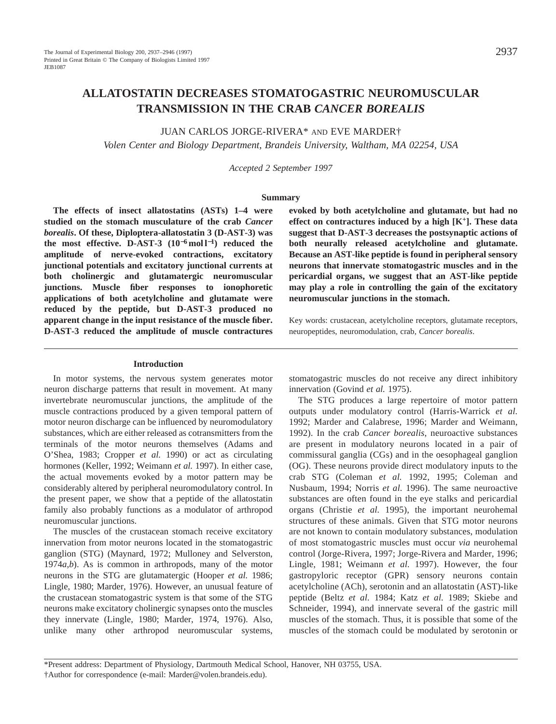# **ALLATOSTATIN DECREASES STOMATOGASTRIC NEUROMUSCULAR TRANSMISSION IN THE CRAB** *CANCER BOREALIS*

JUAN CARLOS JORGE-RIVERA\* AND EVE MARDER†

*Volen Center and Biology Department, Brandeis University, Waltham, MA 02254, USA*

*Accepted 2 September 1997*

### **Summary**

**The effects of insect allatostatins (ASTs) 1–4 were studied on the stomach musculature of the crab** *Cancer borealis***. Of these, Diploptera-allatostatin 3 (D-AST-3) was the most effective. D-AST-3 (10**−**<sup>6</sup> mol l**<sup>−</sup>**1) reduced the amplitude of nerve-evoked contractions, excitatory junctional potentials and excitatory junctional currents at both cholinergic and glutamatergic neuromuscular junctions. Muscle fiber responses to ionophoretic applications of both acetylcholine and glutamate were reduced by the peptide, but D-AST-3 produced no apparent change in the input resistance of the muscle fiber. D-AST-3 reduced the amplitude of muscle contractures**

#### **Introduction**

In motor systems, the nervous system generates motor neuron discharge patterns that result in movement. At many invertebrate neuromuscular junctions, the amplitude of the muscle contractions produced by a given temporal pattern of motor neuron discharge can be influenced by neuromodulatory substances, which are either released as cotransmitters from the terminals of the motor neurons themselves (Adams and O'Shea, 1983; Cropper *et al.* 1990) or act as circulating hormones (Keller, 1992; Weimann *et al.* 1997). In either case, the actual movements evoked by a motor pattern may be considerably altered by peripheral neuromodulatory control. In the present paper, we show that a peptide of the allatostatin family also probably functions as a modulator of arthropod neuromuscular junctions.

The muscles of the crustacean stomach receive excitatory innervation from motor neurons located in the stomatogastric ganglion (STG) (Maynard, 1972; Mulloney and Selverston, 1974*a*,*b*). As is common in arthropods, many of the motor neurons in the STG are glutamatergic (Hooper *et al.* 1986; Lingle, 1980; Marder, 1976). However, an unusual feature of the crustacean stomatogastric system is that some of the STG neurons make excitatory cholinergic synapses onto the muscles they innervate (Lingle, 1980; Marder, 1974, 1976). Also, unlike many other arthropod neuromuscular systems,

**evoked by both acetylcholine and glutamate, but had no effect on contractures induced by a high [K+]. These data suggest that D-AST-3 decreases the postsynaptic actions of both neurally released acetylcholine and glutamate. Because an AST-like peptide is found in peripheral sensory neurons that innervate stomatogastric muscles and in the pericardial organs, we suggest that an AST-like peptide may play a role in controlling the gain of the excitatory neuromuscular junctions in the stomach.**

Key words: crustacean, acetylcholine receptors, glutamate receptors, neuropeptides, neuromodulation, crab, *Cancer borealis*.

stomatogastric muscles do not receive any direct inhibitory innervation (Govind *et al.* 1975).

The STG produces a large repertoire of motor pattern outputs under modulatory control (Harris-Warrick *et al.* 1992; Marder and Calabrese, 1996; Marder and Weimann, 1992). In the crab *Cancer borealis*, neuroactive substances are present in modulatory neurons located in a pair of commissural ganglia (CGs) and in the oesophageal ganglion (OG). These neurons provide direct modulatory inputs to the crab STG (Coleman *et al.* 1992, 1995; Coleman and Nusbaum, 1994; Norris *et al.* 1996). The same neuroactive substances are often found in the eye stalks and pericardial organs (Christie *et al.* 1995), the important neurohemal structures of these animals. Given that STG motor neurons are not known to contain modulatory substances, modulation of most stomatogastric muscles must occur *via* neurohemal control (Jorge-Rivera, 1997; Jorge-Rivera and Marder, 1996; Lingle, 1981; Weimann *et al.* 1997). However, the four gastropyloric receptor (GPR) sensory neurons contain acetylcholine (ACh), serotonin and an allatostatin (AST)-like peptide (Beltz *et al.* 1984; Katz *et al.* 1989; Skiebe and Schneider, 1994), and innervate several of the gastric mill muscles of the stomach. Thus, it is possible that some of the muscles of the stomach could be modulated by serotonin or

<sup>\*</sup>Present address: Department of Physiology, Dartmouth Medical School, Hanover, NH 03755, USA.

<sup>†</sup>Author for correspondence (e-mail: Marder@volen.brandeis.edu).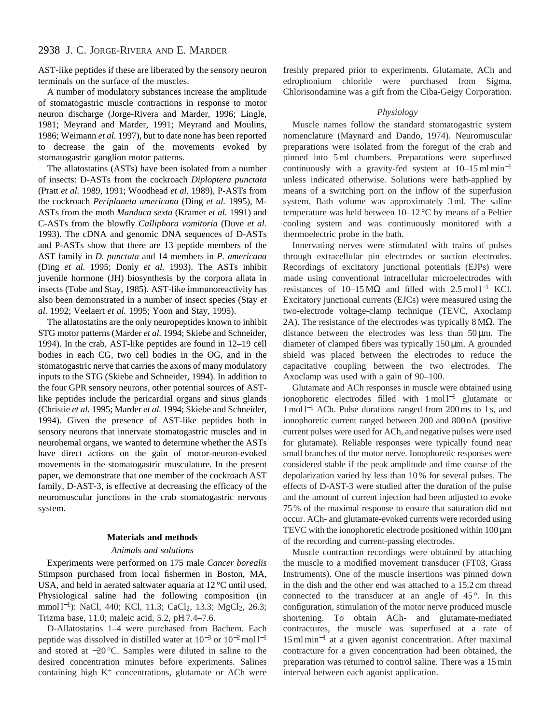# 2938 J. C. JORGE-RIVERA AND E. MARDER

AST-like peptides if these are liberated by the sensory neuron terminals on the surface of the muscles.

A number of modulatory substances increase the amplitude of stomatogastric muscle contractions in response to motor neuron discharge (Jorge-Rivera and Marder, 1996; Lingle, 1981; Meyrand and Marder, 1991; Meyrand and Moulins, 1986; Weimann *et al.* 1997), but to date none has been reported to decrease the gain of the movements evoked by stomatogastric ganglion motor patterns.

The allatostatins (ASTs) have been isolated from a number of insects: D-ASTs from the cockroach *Diploptera punctata* (Pratt *et al.* 1989, 1991; Woodhead *et al.* 1989), P-ASTs from the cockroach *Periplaneta americana* (Ding *et al.* 1995), M-ASTs from the moth *Manduca sexta* (Kramer *et al.* 1991) and C-ASTs from the blowfly *Calliphora vomitoria* (Duve *et al.* 1993). The cDNA and genomic DNA sequences of D-ASTs and P-ASTs show that there are 13 peptide members of the AST family in *D. punctata* and 14 members in *P. americana* (Ding *et al.* 1995; Donly *et al.* 1993). The ASTs inhibit juvenile hormone (JH) biosynthesis by the corpora allata in insects (Tobe and Stay, 1985). AST-like immunoreactivity has also been demonstrated in a number of insect species (Stay *et al.* 1992; Veelaert *et al.* 1995; Yoon and Stay, 1995).

The allatostatins are the only neuropeptides known to inhibit STG motor patterns (Marder *et al.* 1994; Skiebe and Schneider, 1994). In the crab, AST-like peptides are found in 12–19 cell bodies in each CG, two cell bodies in the OG, and in the stomatogastric nerve that carries the axons of many modulatory inputs to the STG (Skiebe and Schneider, 1994). In addition to the four GPR sensory neurons, other potential sources of ASTlike peptides include the pericardial organs and sinus glands (Christie *et al.* 1995; Marder *et al.* 1994; Skiebe and Schneider, 1994). Given the presence of AST-like peptides both in sensory neurons that innervate stomatogastric muscles and in neurohemal organs, we wanted to determine whether the ASTs have direct actions on the gain of motor-neuron-evoked movements in the stomatogastric musculature. In the present paper, we demonstrate that one member of the cockroach AST family, D-AST-3, is effective at decreasing the efficacy of the neuromuscular junctions in the crab stomatogastric nervous system.

#### **Materials and methods**

#### *Animals and solutions*

Experiments were performed on 175 male *Cancer borealis* Stimpson purchased from local fishermen in Boston, MA, USA, and held in aerated saltwater aquaria at 12 °C until used. Physiological saline had the following composition (in mmol l<sup>-1</sup>): NaCl, 440; KCl, 11.3; CaCl<sub>2</sub>, 13.3; MgCl<sub>2</sub>, 26.3; Trizma base, 11.0; maleic acid, 5.2, pH 7.4–7.6.

D-Allatostatins 1–4 were purchased from Bachem. Each peptide was dissolved in distilled water at 10−<sup>3</sup> or 10<sup>−</sup>2mol l−<sup>1</sup> and stored at −20 °C. Samples were diluted in saline to the desired concentration minutes before experiments. Salines containing high  $K^+$  concentrations, glutamate or ACh were freshly prepared prior to experiments. Glutamate, ACh and edrophonium chloride were purchased from Sigma. Chlorisondamine was a gift from the Ciba-Geigy Corporation.

### *Physiology*

Muscle names follow the standard stomatogastric system nomenclature (Maynard and Dando, 1974). Neuromuscular preparations were isolated from the foregut of the crab and pinned into 5 ml chambers. Preparations were superfused continuously with a gravity-fed system at 10–15 ml min−<sup>1</sup> unless indicated otherwise. Solutions were bath-applied by means of a switching port on the inflow of the superfusion system. Bath volume was approximately 3 ml. The saline temperature was held between 10–12 °C by means of a Peltier cooling system and was continuously monitored with a thermoelectric probe in the bath.

Innervating nerves were stimulated with trains of pulses through extracellular pin electrodes or suction electrodes. Recordings of excitatory junctional potentials (EJPs) were made using conventional intracellular microelectrodes with resistances of  $10-15 \text{ M}\Omega$  and filled with 2.5 mol l<sup>-1</sup> KCl. Excitatory junctional currents (EJCs) were measured using the two-electrode voltage-clamp technique (TEVC, Axoclamp 2A). The resistance of the electrodes was typically  $8 \text{M}\Omega$ . The distance between the electrodes was less than  $50 \mu m$ . The diameter of clamped fibers was typically 150 µm. A grounded shield was placed between the electrodes to reduce the capacitative coupling between the two electrodes. The Axoclamp was used with a gain of 90–100.

Glutamate and ACh responses in muscle were obtained using ionophoretic electrodes filled with 1 mol l−<sup>1</sup> glutamate or 1 mol l−<sup>1</sup> ACh. Pulse durations ranged from 200 ms to 1 s, and ionophoretic current ranged between 200 and 800 nA (positive current pulses were used for ACh, and negative pulses were used for glutamate). Reliable responses were typically found near small branches of the motor nerve. Ionophoretic responses were considered stable if the peak amplitude and time course of the depolarization varied by less than 10 % for several pulses. The effects of D-AST-3 were studied after the duration of the pulse and the amount of current injection had been adjusted to evoke 75 % of the maximal response to ensure that saturation did not occur. ACh- and glutamate-evoked currents were recorded using TEVC with the ionophoretic electrode positioned within 100  $\mu$ m of the recording and current-passing electrodes.

Muscle contraction recordings were obtained by attaching the muscle to a modified movement transducer (FT03, Grass Instruments). One of the muscle insertions was pinned down in the dish and the other end was attached to a 15.2 cm thread connected to the transducer at an angle of  $45^\circ$ . In this configuration, stimulation of the motor nerve produced muscle shortening. To obtain ACh- and glutamate-mediated contractures, the muscle was superfused at a rate of 15 ml min−<sup>1</sup> at a given agonist concentration. After maximal contracture for a given concentration had been obtained, the preparation was returned to control saline. There was a 15 min interval between each agonist application.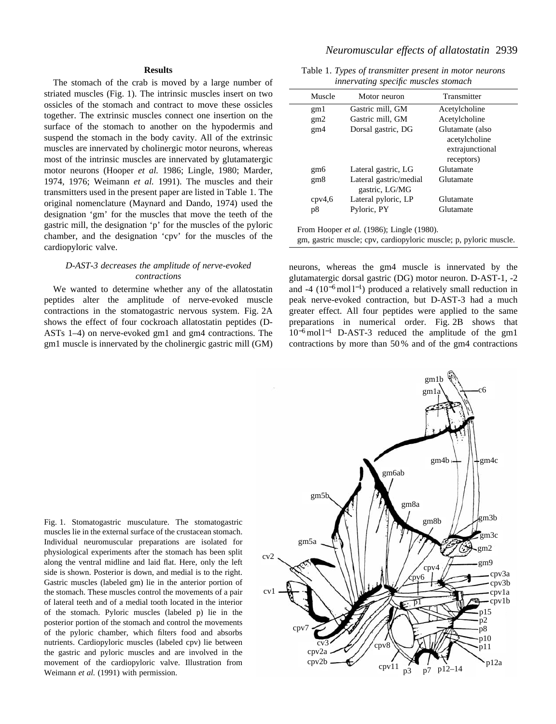## *Neuromuscular effects of allatostatin* 2939

### **Results**

The stomach of the crab is moved by a large number of striated muscles (Fig. 1). The intrinsic muscles insert on two ossicles of the stomach and contract to move these ossicles together. The extrinsic muscles connect one insertion on the surface of the stomach to another on the hypodermis and suspend the stomach in the body cavity. All of the extrinsic muscles are innervated by cholinergic motor neurons, whereas most of the intrinsic muscles are innervated by glutamatergic motor neurons (Hooper *et al.* 1986; Lingle, 1980; Marder, 1974, 1976; Weimann *et al.* 1991). The muscles and their transmitters used in the present paper are listed in Table 1. The original nomenclature (Maynard and Dando, 1974) used the designation 'gm' for the muscles that move the teeth of the gastric mill, the designation 'p' for the muscles of the pyloric chamber, and the designation 'cpv' for the muscles of the cardiopyloric valve.

### *D-AST-3 decreases the amplitude of nerve-evoked contractions*

We wanted to determine whether any of the allatostatin peptides alter the amplitude of nerve-evoked muscle contractions in the stomatogastric nervous system. Fig. 2A shows the effect of four cockroach allatostatin peptides (D-ASTs 1–4) on nerve-evoked gm1 and gm4 contractions. The gm1 muscle is innervated by the cholinergic gastric mill (GM)

Table 1. *Types of transmitter present in motor neurons innervating specific muscles stomach*

| Muscle          | Motor neuron                             | Transmitter     |
|-----------------|------------------------------------------|-----------------|
| gm1             | Gastric mill, GM                         | Acetylcholine   |
| gm2             | Gastric mill, GM                         | Acetylcholine   |
| gm4             | Dorsal gastric, DG                       | Glutamate (also |
|                 |                                          | acetylcholine   |
|                 |                                          | extrajunctional |
|                 |                                          | receptors)      |
| gm6             | Lateral gastric, LG                      | Glutamate       |
| gm <sub>8</sub> | Lateral gastric/medial<br>gastric, LG/MG | Glutamate       |
| cpv4,6          | Lateral pyloric, LP                      | Glutamate       |
| p8              | Pyloric, PY                              | Glutamate       |
|                 |                                          |                 |

From Hooper *et al.* (1986); Lingle (1980).

gm, gastric muscle; cpv, cardiopyloric muscle; p, pyloric muscle.

neurons, whereas the gm4 muscle is innervated by the glutamatergic dorsal gastric (DG) motor neuron. D-AST-1, -2 and -4 ( $10^{-6}$ mol l<sup>-1</sup>) produced a relatively small reduction in peak nerve-evoked contraction, but D-AST-3 had a much greater effect. All four peptides were applied to the same preparations in numerical order. Fig. 2B shows that 10<sup>−</sup>6mol l−<sup>1</sup> D-AST-3 reduced the amplitude of the gm1 contractions by more than 50 % and of the gm4 contractions

Fig. 1. Stomatogastric musculature. The stomatogastric muscles lie in the external surface of the crustacean stomach. Individual neuromuscular preparations are isolated for physiological experiments after the stomach has been split along the ventral midline and laid flat. Here, only the left side is shown. Posterior is down, and medial is to the right. Gastric muscles (labeled gm) lie in the anterior portion of the stomach. These muscles control the movements of a pair of lateral teeth and of a medial tooth located in the interior of the stomach. Pyloric muscles (labeled p) lie in the posterior portion of the stomach and control the movements of the pyloric chamber, which filters food and absorbs nutrients. Cardiopyloric muscles (labeled cpv) lie between the gastric and pyloric muscles and are involved in the movement of the cardiopyloric valve. Illustration from Weimann *et al.* (1991) with permission.

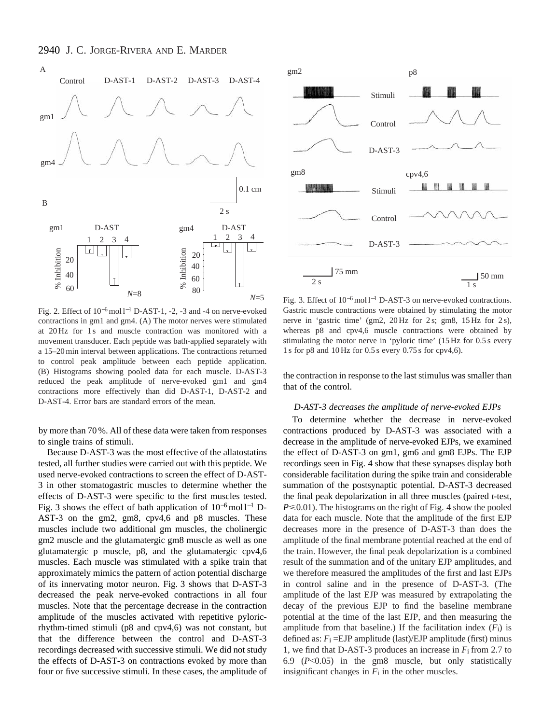

Fig. 2. Effect of 10<sup>−</sup>6mol l−<sup>1</sup> D-AST-1, -2, -3 and -4 on nerve-evoked contractions in gm1 and gm4. (A) The motor nerves were stimulated at 20 Hz for 1 s and muscle contraction was monitored with a movement transducer. Each peptide was bath-applied separately with a 15–20 min interval between applications. The contractions returned to control peak amplitude between each peptide application. (B) Histograms showing pooled data for each muscle. D-AST-3 reduced the peak amplitude of nerve-evoked gm1 and gm4 contractions more effectively than did D-AST-1, D-AST-2 and D-AST-4. Error bars are standard errors of the mean.

by more than 70 %. All of these data were taken from responses to single trains of stimuli.

Because D-AST-3 was the most effective of the allatostatins tested, all further studies were carried out with this peptide. We used nerve-evoked contractions to screen the effect of D-AST-3 in other stomatogastric muscles to determine whether the effects of D-AST-3 were specific to the first muscles tested. Fig. 3 shows the effect of bath application of 10<sup>−</sup>6mol l−<sup>1</sup> D-AST-3 on the gm2, gm8, cpv4,6 and p8 muscles. These muscles include two additional gm muscles, the cholinergic gm2 muscle and the glutamatergic gm8 muscle as well as one glutamatergic p muscle, p8, and the glutamatergic cpv4,6 muscles. Each muscle was stimulated with a spike train that approximately mimics the pattern of action potential discharge of its innervating motor neuron. Fig. 3 shows that D-AST-3 decreased the peak nerve-evoked contractions in all four muscles. Note that the percentage decrease in the contraction amplitude of the muscles activated with repetitive pyloricrhythm-timed stimuli (p8 and cpv4,6) was not constant, but that the difference between the control and D-AST-3 recordings decreased with successive stimuli. We did not study the effects of D-AST-3 on contractions evoked by more than four or five successive stimuli. In these cases, the amplitude of



Fig. 3. Effect of 10<sup>−</sup>6mol l−<sup>1</sup> D-AST-3 on nerve-evoked contractions. Gastric muscle contractions were obtained by stimulating the motor nerve in 'gastric time' (gm2, 20 Hz for 2 s; gm8, 15 Hz for 2 s), whereas p8 and cpv4,6 muscle contractions were obtained by stimulating the motor nerve in 'pyloric time' (15 Hz for 0.5 s every 1 s for p8 and 10 Hz for 0.5 s every 0.75 s for cpv4,6).

the contraction in response to the last stimulus was smaller than that of the control.

#### *D-AST-3 decreases the amplitude of nerve-evoked EJPs*

To determine whether the decrease in nerve-evoked contractions produced by D-AST-3 was associated with a decrease in the amplitude of nerve-evoked EJPs, we examined the effect of D-AST-3 on gm1, gm6 and gm8 EJPs. The EJP recordings seen in Fig. 4 show that these synapses display both considerable facilitation during the spike train and considerable summation of the postsynaptic potential. D-AST-3 decreased the final peak depolarization in all three muscles (paired *t*-test,  $P \le 0.01$ ). The histograms on the right of Fig. 4 show the pooled data for each muscle. Note that the amplitude of the first EJP decreases more in the presence of D-AST-3 than does the amplitude of the final membrane potential reached at the end of the train. However, the final peak depolarization is a combined result of the summation and of the unitary EJP amplitudes, and we therefore measured the amplitudes of the first and last EJPs in control saline and in the presence of D-AST-3. (The amplitude of the last EJP was measured by extrapolating the decay of the previous EJP to find the baseline membrane potential at the time of the last EJP, and then measuring the amplitude from that baseline.) If the facilitation index  $(F<sub>i</sub>)$  is defined as:  $F_i = EJP$  amplitude (last)/EJP amplitude (first) minus 1, we find that D-AST-3 produces an increase in *F*i from 2.7 to 6.9 (*P*<0.05) in the gm8 muscle, but only statistically insignificant changes in *F*i in the other muscles.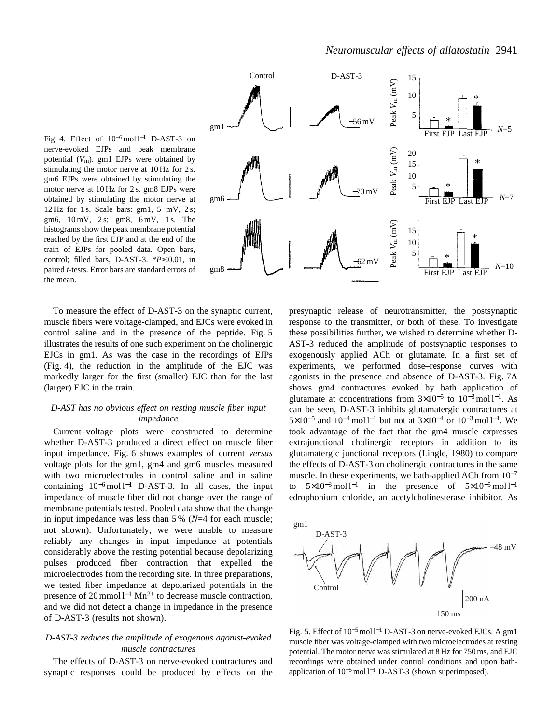



To measure the effect of D-AST-3 on the synaptic current, muscle fibers were voltage-clamped, and EJCs were evoked in control saline and in the presence of the peptide. Fig. 5 illustrates the results of one such experiment on the cholinergic EJCs in gm1*.* As was the case in the recordings of EJPs (Fig. 4), the reduction in the amplitude of the EJC was markedly larger for the first (smaller) EJC than for the last (larger) EJC in the train.

### *D-AST has no obvious effect on resting muscle fiber input impedance*

Current–voltage plots were constructed to determine whether D-AST-3 produced a direct effect on muscle fiber input impedance. Fig. 6 shows examples of current *versus* voltage plots for the gm1, gm4 and gm6 muscles measured with two microelectrodes in control saline and in saline containing  $10^{-6}$  mol l<sup>-1</sup> D-AST-3. In all cases, the input impedance of muscle fiber did not change over the range of membrane potentials tested. Pooled data show that the change in input impedance was less than 5 % (*N*=4 for each muscle; not shown). Unfortunately, we were unable to measure reliably any changes in input impedance at potentials considerably above the resting potential because depolarizing pulses produced fiber contraction that expelled the microelectrodes from the recording site. In three preparations, we tested fiber impedance at depolarized potentials in the presence of 20 mmol l<sup>-1</sup> Mn<sup>2+</sup> to decrease muscle contraction, and we did not detect a change in impedance in the presence of D-AST-3 (results not shown).

### *D-AST-3 reduces the amplitude of exogenous agonist-evoked muscle contractures*

The effects of D-AST-3 on nerve-evoked contractures and synaptic responses could be produced by effects on the

presynaptic release of neurotransmitter, the postsynaptic response to the transmitter, or both of these. To investigate these possibilities further, we wished to determine whether D-AST-3 reduced the amplitude of postsynaptic responses to exogenously applied ACh or glutamate. In a first set of experiments, we performed dose–response curves with agonists in the presence and absence of D-AST-3. Fig. 7A shows gm4 contractures evoked by bath application of glutamate at concentrations from  $3\times10^{-5}$  to  $10^{-3}$  mol l<sup>-1</sup>. As can be seen, D-AST-3 inhibits glutamatergic contractures at 5×10<sup>-5</sup> and 10<sup>-4</sup> mol l<sup>-1</sup> but not at 3×10<sup>-4</sup> or 10<sup>-3</sup> mol l<sup>-1</sup>. We took advantage of the fact that the gm4 muscle expresses extrajunctional cholinergic receptors in addition to its glutamatergic junctional receptors (Lingle, 1980) to compare the effects of D-AST-3 on cholinergic contractures in the same muscle. In these experiments, we bath-applied ACh from  $10^{-7}$ to  $5\times10^{-3}$  mol l<sup>-1</sup> in the presence of  $5\times10^{-5}$  mol l<sup>-1</sup> edrophonium chloride, an acetylcholinesterase inhibitor. As



Fig. 5. Effect of 10<sup>−</sup>5mol l−<sup>1</sup> D-AST-3 on nerve-evoked EJCs. A gm1 muscle fiber was voltage-clamped with two microelectrodes at resting potential. The motor nerve was stimulated at 8 Hz for 750 ms, and EJC recordings were obtained under control conditions and upon bathapplication of 10<sup>-5</sup> mol l<sup>-1</sup> D-AST-3 (shown superimposed).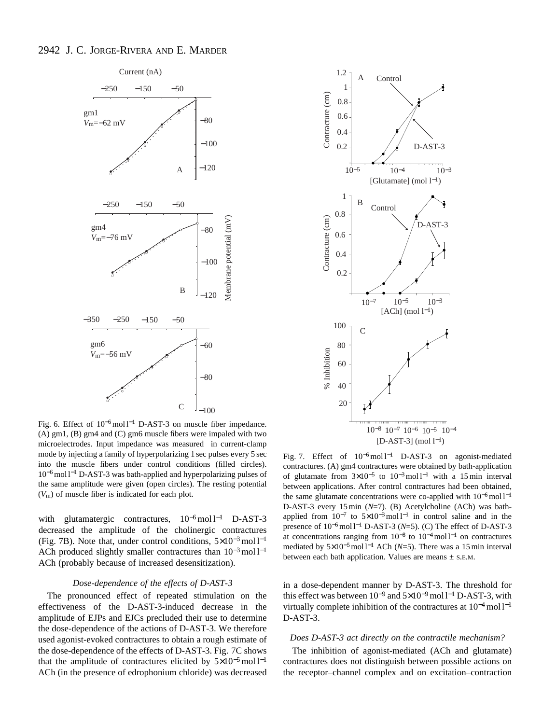# 2942 J. C. JORGE-RIVERA AND E. MARDER



Fig. 6. Effect of 10<sup>−</sup>6mol l−<sup>1</sup> D-AST-3 on muscle fiber impedance. (A) gm1, (B) gm4 and (C) gm6 muscle fibers were impaled with two microelectrodes. Input impedance was measured in current-clamp mode by injecting a family of hyperpolarizing 1 sec pulses every 5 sec into the muscle fibers under control conditions (filled circles). 10<sup>−</sup>6mol l−<sup>1</sup> D-AST-3 was bath-applied and hyperpolarizing pulses of the same amplitude were given (open circles). The resting potential (*V*m) of muscle fiber is indicated for each plot.

with glutamatergic contractures, 10<sup>−</sup>6mol l−<sup>1</sup> D-AST-3 decreased the amplitude of the cholinergic contractures (Fig. 7B). Note that, under control conditions,  $5\times10^{-3}$  mol l<sup>-1</sup> ACh produced slightly smaller contractures than 10<sup>-3</sup>mol l<sup>-1</sup> ACh (probably because of increased desensitization).

### *Dose-dependence of the effects of D-AST-3*

The pronounced effect of repeated stimulation on the effectiveness of the D-AST-3-induced decrease in the amplitude of EJPs and EJCs precluded their use to determine the dose-dependence of the actions of D-AST-3. We therefore used agonist-evoked contractures to obtain a rough estimate of the dose-dependence of the effects of D-AST-3. Fig. 7C shows that the amplitude of contractures elicited by  $5\times10^{-5}$  mol l<sup>-1</sup> ACh (in the presence of edrophonium chloride) was decreased



Fig. 7. Effect of 10<sup>−</sup>6mol l−<sup>1</sup> D-AST-3 on agonist-mediated contractures. (A) gm4 contractures were obtained by bath-application of glutamate from  $3\times10^{-5}$  to  $10^{-3}$  mol l<sup>-1</sup> with a 15 min interval between applications. After control contractures had been obtained, the same glutamate concentrations were co-applied with  $10^{-6}$  mol l<sup>-1</sup> D-AST-3 every 15 min (*N*=7). (B) Acetylcholine (ACh) was bathapplied from  $10^{-7}$  to  $5\times10^{-3}$  mol l<sup>-1</sup> in control saline and in the presence of 10<sup>−</sup>6mol l−<sup>1</sup> D-AST-3 (*N*=5). (C) The effect of D-AST-3 at concentrations ranging from  $10^{-8}$  to  $10^{-4}$  mol l<sup>-1</sup> on contractures mediated by 5×10<sup>-5</sup>mol l<sup>-1</sup> ACh (*N*=5). There was a 15 min interval between each bath application. Values are means  $\pm$  s.E.M.

in a dose-dependent manner by D-AST-3. The threshold for this effect was between  $10^{-9}$  and  $5\times10^{-9}$  mol l<sup>-1</sup> D-AST-3, with virtually complete inhibition of the contractures at 10<sup>−</sup>4mol l−<sup>1</sup> D-AST-3.

#### *Does D-AST-3 act directly on the contractile mechanism?*

The inhibition of agonist-mediated (ACh and glutamate) contractures does not distinguish between possible actions on the receptor–channel complex and on excitation–contraction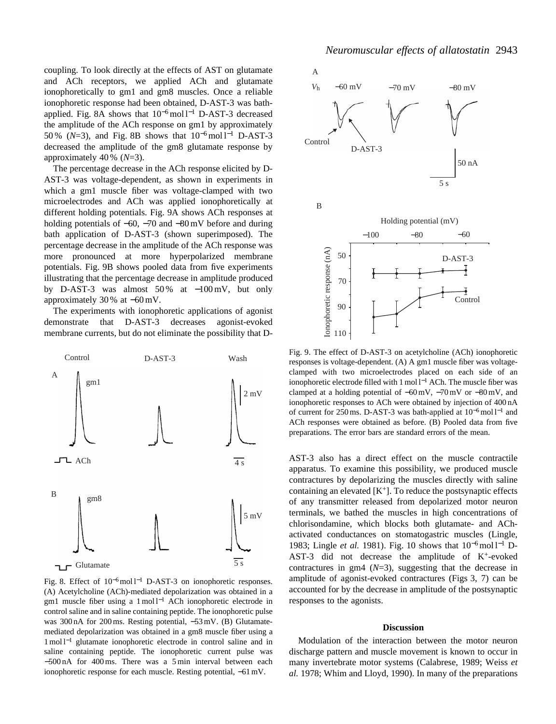coupling. To look directly at the effects of AST on glutamate and ACh receptors, we applied ACh and glutamate ionophoretically to gm1 and gm8 muscles. Once a reliable ionophoretic response had been obtained, D-AST-3 was bathapplied. Fig. 8A shows that  $10^{-6}$  mol l<sup>-1</sup> D-AST-3 decreased the amplitude of the ACh response on gm1 by approximately 50 % (*N*=3), and Fig. 8B shows that 10<sup>-6</sup> mol l<sup>-1</sup> D-AST-3 decreased the amplitude of the gm8 glutamate response by approximately 40 % (*N*=3).

The percentage decrease in the ACh response elicited by D-AST-3 was voltage-dependent, as shown in experiments in which a gm1 muscle fiber was voltage-clamped with two microelectrodes and ACh was applied ionophoretically at different holding potentials. Fig. 9A shows ACh responses at holding potentials of −60, −70 and −80 mV before and during bath application of D-AST-3 (shown superimposed). The percentage decrease in the amplitude of the ACh response was more pronounced at more hyperpolarized membrane potentials. Fig. 9B shows pooled data from five experiments illustrating that the percentage decrease in amplitude produced by D-AST-3 was almost 50 % at −100 mV, but only approximately 30 % at −60 mV.

The experiments with ionophoretic applications of agonist demonstrate that D-AST-3 decreases agonist-evoked membrane currents, but do not eliminate the possibility that D-



Fig. 8. Effect of  $10^{-6}$  mol l<sup>-1</sup> D-AST-3 on ionophoretic responses. (A) Acetylcholine (ACh)-mediated depolarization was obtained in a gm1 muscle fiber using a 1 mol l<sup>−1</sup> ACh ionophoretic electrode in control saline and in saline containing peptide. The ionophoretic pulse was 300 nA for 200 ms. Resting potential, −53 mV. (B) Glutamatemediated depolarization was obtained in a gm8 muscle fiber using a 1 mol l−<sup>1</sup> glutamate ionophoretic electrode in control saline and in saline containing peptide. The ionophoretic current pulse was −500 nA for 400 ms. There was a 5 min interval between each ionophoretic response for each muscle. Resting potential, −61 mV.



Fig. 9. The effect of D-AST-3 on acetylcholine (ACh) ionophoretic responses is voltage-dependent. (A) A gm1 muscle fiber was voltageclamped with two microelectrodes placed on each side of an ionophoretic electrode filled with 1 mol l−<sup>1</sup> ACh. The muscle fiber was clamped at a holding potential of −60 mV, −70 mV or −80 mV, and ionophoretic responses to ACh were obtained by injection of 400 nA of current for 250 ms. D-AST-3 was bath-applied at 10<sup>−</sup>6mol l−<sup>1</sup> and ACh responses were obtained as before. (B) Pooled data from five preparations. The error bars are standard errors of the mean.

AST-3 also has a direct effect on the muscle contractile apparatus. To examine this possibility, we produced muscle contractures by depolarizing the muscles directly with saline containing an elevated  $[K^+]$ . To reduce the postsynaptic effects of any transmitter released from depolarized motor neuron terminals, we bathed the muscles in high concentrations of chlorisondamine, which blocks both glutamate- and AChactivated conductances on stomatogastric muscles (Lingle, 1983; Lingle *et al.* 1981). Fig. 10 shows that 10<sup>-6</sup> mol l<sup>-1</sup> D-AST-3 did not decrease the amplitude of  $K^+$ -evoked contractures in gm4 (*N*=3), suggesting that the decrease in amplitude of agonist-evoked contractures (Figs 3, 7) can be accounted for by the decrease in amplitude of the postsynaptic responses to the agonists.

### **Discussion**

Modulation of the interaction between the motor neuron discharge pattern and muscle movement is known to occur in many invertebrate motor systems (Calabrese, 1989; Weiss *et al.* 1978; Whim and Lloyd, 1990). In many of the preparations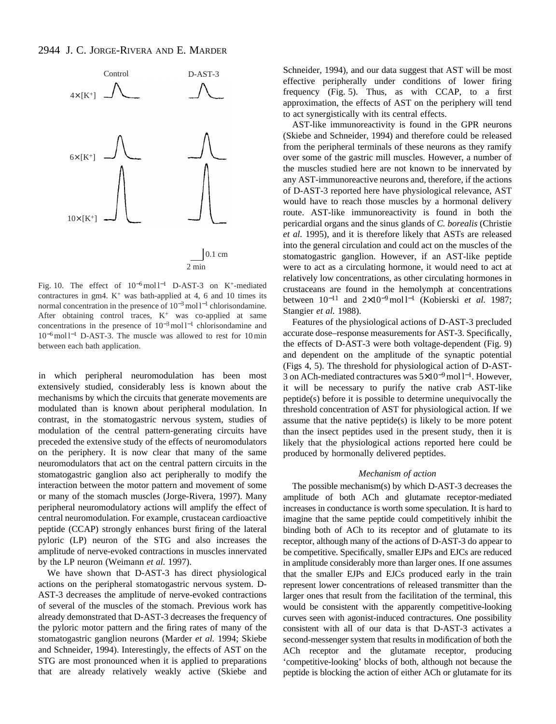

Fig. 10. The effect of 10<sup>−</sup>6mol l−<sup>1</sup> D-AST-3 on K+-mediated contractures in gm4.  $K^+$  was bath-applied at 4, 6 and 10 times its normal concentration in the presence of 10<sup>-3</sup> mol l<sup>-1</sup> chlorisondamine. After obtaining control traces,  $K^+$  was co-applied at same concentrations in the presence of 10<sup>−</sup>3mol l−<sup>1</sup> chlorisondamine and 10<sup>−</sup>6mol l−<sup>1</sup> D-AST-3. The muscle was allowed to rest for 10 min between each bath application.

in which peripheral neuromodulation has been most extensively studied, considerably less is known about the mechanisms by which the circuits that generate movements are modulated than is known about peripheral modulation. In contrast, in the stomatogastric nervous system, studies of modulation of the central pattern-generating circuits have preceded the extensive study of the effects of neuromodulators on the periphery. It is now clear that many of the same neuromodulators that act on the central pattern circuits in the stomatogastric ganglion also act peripherally to modify the interaction between the motor pattern and movement of some or many of the stomach muscles (Jorge-Rivera, 1997). Many peripheral neuromodulatory actions will amplify the effect of central neuromodulation. For example, crustacean cardioactive peptide (CCAP) strongly enhances burst firing of the lateral pyloric (LP) neuron of the STG and also increases the amplitude of nerve-evoked contractions in muscles innervated by the LP neuron (Weimann *et al.* 1997).

We have shown that D-AST-3 has direct physiological actions on the peripheral stomatogastric nervous system. D-AST-3 decreases the amplitude of nerve-evoked contractions of several of the muscles of the stomach. Previous work has already demonstrated that D-AST-3 decreases the frequency of the pyloric motor pattern and the firing rates of many of the stomatogastric ganglion neurons (Marder *et al.* 1994; Skiebe and Schneider, 1994). Interestingly, the effects of AST on the STG are most pronounced when it is applied to preparations that are already relatively weakly active (Skiebe and Schneider, 1994), and our data suggest that AST will be most effective peripherally under conditions of lower firing frequency (Fig. 5). Thus, as with CCAP, to a first approximation, the effects of AST on the periphery will tend to act synergistically with its central effects.

AST-like immunoreactivity is found in the GPR neurons (Skiebe and Schneider, 1994) and therefore could be released from the peripheral terminals of these neurons as they ramify over some of the gastric mill muscles. However, a number of the muscles studied here are not known to be innervated by any AST-immunoreactive neurons and, therefore, if the actions of D-AST-3 reported here have physiological relevance, AST would have to reach those muscles by a hormonal delivery route. AST-like immunoreactivity is found in both the pericardial organs and the sinus glands of *C. borealis* (Christie *et al.* 1995), and it is therefore likely that ASTs are released into the general circulation and could act on the muscles of the stomatogastric ganglion. However, if an AST-like peptide were to act as a circulating hormone, it would need to act at relatively low concentrations, as other circulating hormones in crustaceans are found in the hemolymph at concentrations between 10−<sup>11</sup> and 2×10<sup>−</sup>9mol l−<sup>1</sup> (Kobierski *et al.* 1987; Stangier *et al.* 1988).

Features of the physiological actions of D-AST-3 precluded accurate dose–response measurements for AST-3. Specifically, the effects of D-AST-3 were both voltage-dependent (Fig. 9) and dependent on the amplitude of the synaptic potential (Figs 4, 5). The threshold for physiological action of D-AST-3 on ACh-mediated contractures was 5×10<sup>-9</sup> mol l<sup>-1</sup>. However, it will be necessary to purify the native crab AST-like peptide(s) before it is possible to determine unequivocally the threshold concentration of AST for physiological action. If we assume that the native peptide(s) is likely to be more potent than the insect peptides used in the present study, then it is likely that the physiological actions reported here could be produced by hormonally delivered peptides.

#### *Mechanism of action*

The possible mechanism(s) by which D-AST-3 decreases the amplitude of both ACh and glutamate receptor-mediated increases in conductance is worth some speculation. It is hard to imagine that the same peptide could competitively inhibit the binding both of ACh to its receptor and of glutamate to its receptor, although many of the actions of D-AST-3 do appear to be competitive. Specifically, smaller EJPs and EJCs are reduced in amplitude considerably more than larger ones. If one assumes that the smaller EJPs and EJCs produced early in the train represent lower concentrations of released transmitter than the larger ones that result from the facilitation of the terminal, this would be consistent with the apparently competitive-looking curves seen with agonist-induced contractures. One possibility consistent with all of our data is that D-AST-3 activates a second-messenger system that results in modification of both the ACh receptor and the glutamate receptor, producing 'competitive-looking' blocks of both, although not because the peptide is blocking the action of either ACh or glutamate for its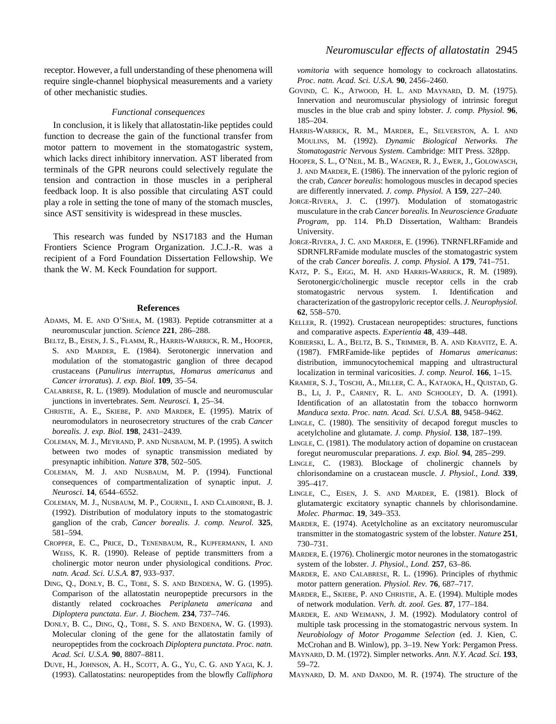receptor. However, a full understanding of these phenomena will require single-channel biophysical measurements and a variety of other mechanistic studies.

#### *Functional consequences*

In conclusion, it is likely that allatostatin-like peptides could function to decrease the gain of the functional transfer from motor pattern to movement in the stomatogastric system, which lacks direct inhibitory innervation. AST liberated from terminals of the GPR neurons could selectively regulate the tension and contraction in those muscles in a peripheral feedback loop. It is also possible that circulating AST could play a role in setting the tone of many of the stomach muscles, since AST sensitivity is widespread in these muscles.

This research was funded by NS17183 and the Human Frontiers Science Program Organization. J.C.J.-R. was a recipient of a Ford Foundation Dissertation Fellowship. We thank the W. M. Keck Foundation for support.

#### **References**

- ADAMS, M. E. AND O'SHEA, M. (1983). Peptide cotransmitter at a neuromuscular junction. *Science* **221**, 286–288.
- BELTZ, B., EISEN, J. S., FLAMM, R., HARRIS-WARRICK, R. M., HOOPER, S. AND MARDER, E. (1984). Serotonergic innervation and modulation of the stomatogastric ganglion of three decapod crustaceans (*Panulirus interruptus*, *Homarus americanus* and *Cancer irroratus*). *J. exp. Biol.* **109**, 35–54.
- CALABRESE, R. L. (1989). Modulation of muscle and neuromuscular junctions in invertebrates. *Sem. Neurosci.* **1**, 25–34.
- CHRISTIE, A. E., SKIEBE, P. AND MARDER, E. (1995). Matrix of neuromodulators in neurosecretory structures of the crab *Cancer borealis. J. exp. Biol.* **198**, 2431–2439.
- COLEMAN, M. J., MEYRAND, P. AND NUSBAUM, M. P. (1995). A switch between two modes of synaptic transmission mediated by presynaptic inhibition. *Nature* **378**, 502–505.
- COLEMAN, M. J. AND NUSBAUM, M. P. (1994). Functional consequences of compartmentalization of synaptic input. *J. Neurosci.* **14**, 6544–6552.
- COLEMAN, M. J., NUSBAUM, M. P., COURNIL, I. AND CLAIBORNE, B. J. (1992). Distribution of modulatory inputs to the stomatogastric ganglion of the crab, *Cancer borealis*. *J. comp. Neurol.* **325**, 581–594.
- CROPPER, E. C., PRICE, D., TENENBAUM, R., KUPFERMANN, I. AND WEISS, K. R. (1990). Release of peptide transmitters from a cholinergic motor neuron under physiological conditions. *Proc. natn. Acad. Sci. U.S.A.* **87**, 933–937.
- DING, Q., DONLY, B. C., TOBE, S. S. AND BENDENA, W. G. (1995). Comparison of the allatostatin neuropeptide precursors in the distantly related cockroaches *Periplaneta americana* and *Diploptera punctata*. *Eur. J. Biochem.* **234**, 737–746.
- DONLY, B. C., DING, Q., TOBE, S. S. AND BENDENA, W. G. (1993). Molecular cloning of the gene for the allatostatin family of neuropeptides from the cockroach *Diploptera punctata*. *Proc. natn. Acad. Sci. U.S.A.* **90**, 8807–8811.
- DUVE, H., JOHNSON, A. H., SCOTT, A. G., YU, C. G. AND YAGI, K. J. (1993). Callatostatins: neuropeptides from the blowfly *Calliphora*

*vomitoria* with sequence homology to cockroach allatostatins. *Proc. natn. Acad. Sci. U.S.A.* **90**, 2456–2460.

- GOVIND, C. K., ATWOOD, H. L. AND MAYNARD, D. M. (1975). Innervation and neuromuscular physiology of intrinsic foregut muscles in the blue crab and spiny lobster. *J. comp. Physiol.* **96**, 185–204.
- HARRIS-WARRICK, R. M., MARDER, E., SELVERSTON, A. I. AND MOULINS, M. (1992). *Dynamic Biological Networks. The Stomatogastric Nervous System*. Cambridge: MIT Press. 328pp.
- HOOPER, S. L., O'NEIL, M. B., WAGNER, R. J., EWER, J., GOLOWASCH, J. AND MARDER, E. (1986). The innervation of the pyloric region of the crab, *Cancer borealis*: homologous muscles in decapod species are differently innervated. *J. comp. Physiol.* A **159**, 227–240.
- JORGE-RIVERA, J. C. (1997). Modulation of stomatogastric musculature in the crab *Cancer borealis.* In *Neuroscience Graduate Program*, pp. 114. Ph.D Dissertation, Waltham: Brandeis University.
- JORGE-RIVERA, J. C. AND MARDER, E. (1996). TNRNFLRFamide and SDRNFLRFamide modulate muscles of the stomatogastric system of the crab *Cancer borealis*. *J. comp. Physiol.* A **179**, 741–751.
- KATZ, P. S., EIGG, M. H. AND HARRIS-WARRICK, R. M. (1989). Serotonergic/cholinergic muscle receptor cells in the crab stomatogastric nervous system. I. Identification and characterization of the gastropyloric receptor cells. *J. Neurophysiol.* **62**, 558–570.
- KELLER, R. (1992). Crustacean neuropeptides: structures, functions and comparative aspects. *Experientia* **48**, 439–448.
- KOBIERSKI, L. A., BELTZ, B. S., TRIMMER, B. A. AND KRAVITZ, E. A. (1987). FMRFamide-like peptides of *Homarus americanus*: distribution, immunocytochemical mapping and ultrastructural localization in terminal varicosities. *J. comp. Neurol.* **166**, 1–15.
- KRAMER, S. J., TOSCHI, A., MILLER, C. A., KATAOKA, H., QUISTAD, G. B., LI, J. P., CARNEY, R. L. AND SCHOOLEY, D. A. (1991). Identification of an allatostatin from the tobacco hornworm *Manduca sexta*. *Proc. natn. Acad. Sci. U.S.A.* **88**, 9458–9462.
- LINGLE, C. (1980). The sensitivity of decapod foregut muscles to acetylcholine and glutamate. *J. comp. Physiol.* **138**, 187–199.
- LINGLE, C. (1981). The modulatory action of dopamine on crustacean foregut neuromuscular preparations. *J. exp. Biol.* **94**, 285–299.
- LINGLE, C. (1983). Blockage of cholinergic channels by chlorisondamine on a crustacean muscle. *J. Physiol., Lond.* **339**, 395–417.
- LINGLE, C., EISEN, J. S. AND MARDER, E. (1981). Block of glutamatergic excitatory synaptic channels by chlorisondamine. *Molec. Pharmac.* **19**, 349–353.
- MARDER, E. (1974). Acetylcholine as an excitatory neuromuscular transmitter in the stomatogastric system of the lobster. *Nature* **251**, 730–731.
- MARDER, E. (1976). Cholinergic motor neurones in the stomatogastric system of the lobster. *J. Physiol., Lond.* **257**, 63–86.
- MARDER, E. AND CALABRESE, R. L. (1996). Principles of rhythmic motor pattern generation. *Physiol. Rev.* **76**, 687–717.
- MARDER, E., SKIEBE, P. AND CHRISTIE, A. E. (1994). Multiple modes of network modulation. *Verh. dt. zool. Ges.* **87**, 177–184.
- MARDER, E. AND WEIMANN, J. M. (1992). Modulatory control of multiple task processing in the stomatogastric nervous system. In *Neurobiology of Motor Progamme Selection* (ed. J. Kien, C. McCrohan and B. Winlow), pp. 3–19. New York: Pergamon Press.
- MAYNARD, D. M. (1972). Simpler networks. *Ann. N.Y. Acad. Sci.* **193**, 59–72.
- MAYNARD, D. M. AND DANDO, M. R. (1974). The structure of the